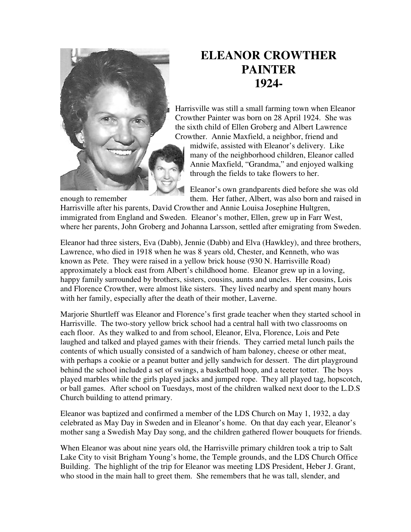

## **ELEANOR CROWTHER PAINTER 1924-**

Harrisville was still a small farming town when Eleanor Crowther Painter was born on 28 April 1924. She was the sixth child of Ellen Groberg and Albert Lawrence Crowther. Annie Maxfield, a neighbor, friend and

midwife, assisted with Eleanor's delivery. Like many of the neighborhood children, Eleanor called Annie Maxfield, "Grandma," and enjoyed walking through the fields to take flowers to her.

Eleanor's own grandparents died before she was old enough to remember them. Her father, Albert, was also born and raised in

Harrisville after his parents, David Crowther and Annie Louisa Josephine Hultgren, immigrated from England and Sweden. Eleanor's mother, Ellen, grew up in Farr West, where her parents, John Groberg and Johanna Larsson, settled after emigrating from Sweden.

Eleanor had three sisters, Eva (Dabb), Jennie (Dabb) and Elva (Hawkley), and three brothers, Lawrence, who died in 1918 when he was 8 years old, Chester, and Kenneth, who was known as Pete. They were raised in a yellow brick house (930 N. Harrisville Road) approximately a block east from Albert's childhood home. Eleanor grew up in a loving, happy family surrounded by brothers, sisters, cousins, aunts and uncles. Her cousins, Lois and Florence Crowther, were almost like sisters. They lived nearby and spent many hours with her family, especially after the death of their mother, Laverne.

Marjorie Shurtleff was Eleanor and Florence's first grade teacher when they started school in Harrisville. The two-story yellow brick school had a central hall with two classrooms on each floor. As they walked to and from school, Eleanor, Elva, Florence, Lois and Pete laughed and talked and played games with their friends. They carried metal lunch pails the contents of which usually consisted of a sandwich of ham baloney, cheese or other meat, with perhaps a cookie or a peanut butter and jelly sandwich for dessert. The dirt playground behind the school included a set of swings, a basketball hoop, and a teeter totter. The boys played marbles while the girls played jacks and jumped rope. They all played tag, hopscotch, or ball games. After school on Tuesdays, most of the children walked next door to the L.D.S Church building to attend primary.

Eleanor was baptized and confirmed a member of the LDS Church on May 1, 1932, a day celebrated as May Day in Sweden and in Eleanor's home. On that day each year, Eleanor's mother sang a Swedish May Day song, and the children gathered flower bouquets for friends.

When Eleanor was about nine years old, the Harrisville primary children took a trip to Salt Lake City to visit Brigham Young's home, the Temple grounds, and the LDS Church Office Building. The highlight of the trip for Eleanor was meeting LDS President, Heber J. Grant, who stood in the main hall to greet them. She remembers that he was tall, slender, and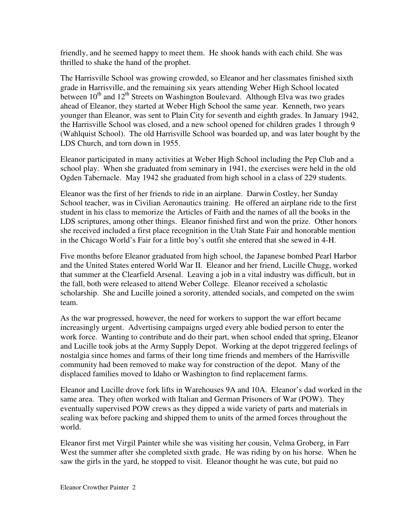friendly, and he seemed happy to meet them. He shook hands with each child. She was thrilled to shake the hand of the prophet.

The Harrisville School was growing crowded, so Eleanor and her classmates finished sixth grade in Harrisville, and the remaining six years attending Weber High School located between  $10^{th}$  and  $12^{th}$  Streets on Washington Boulevard. Although Elva was two grades ahead of Eleanor, they started at Weber High School the same year. Kenneth, two years younger than Eleanor, was sent to Plain City for seventh and eighth grades. In January 1942, the Harrisville School was closed, and a new school opened for children grades 1 through 9 (Wahlquist School). The old Harrisville School was boarded up, and was later bought by the LDS Church, and torn down in 1955.

Eleanor participated in many activities at Weber High School including the Pep Club and a school play. When she graduated from seminary in 1941, the exercises were held in the old Ogden Tabernacle. May 1942 she graduated from high school in a class of 229 students.

Eleanor was the first of her friends to ride in an airplane. Darwin Costley, her Sunday School teacher, was in Civilian Aeronautics training. He offered an airplane ride to the first student in his class to memorize the Articles of Faith and the names of all the books in the LDS scriptures, among other things. Eleanor finished first and won the prize. Other honors she received included a first place recognition in the Utah State Fair and honorable mention in the Chicago World's Fair for a little boy's outfit she entered that she sewed in 4-H.

Five months before Eleanor graduated from high school, the Japanese bombed Pearl Harbor and the United States entered World War II. Eleanor and her friend, Lucille Chugg, worked that summer at the Clearfield Arsenal. Leaving a job in a vital industry was difficult, but in the fall, both were released to attend Weber College. Eleanor received a scholastic scholarship. She and Lucille joined a sorority, attended socials, and competed on the swim team.

As the war progressed, however, the need for workers to support the war effort became increasingly urgent. Advertising campaigns urged every able bodied person to enter the work force. Wanting to contribute and do their part, when school ended that spring, Eleanor and Lucille took jobs at the Army Supply Depot. Working at the depot triggered feelings of nostalgia since homes and farms of their long time friends and members of the Harrisville community had been removed to make way for construction of the depot. Many of the displaced families moved to Idaho or Washington to find replacement farms.

Eleanor and Lucille drove fork lifts in Warehouses 9A and 10A. Eleanor's dad worked in the same area. They often worked with Italian and German Prisoners of War (POW). They eventually supervised POW crews as they dipped a wide variety of parts and materials in sealing wax before packing and shipped them to units of the armed forces throughout the world.

Eleanor first met Virgil Painter while she was visiting her cousin, Velma Groberg, in Farr West the summer after she completed sixth grade. He was riding by on his horse. When he saw the girls in the yard, he stopped to visit. Eleanor thought he was cute, but paid no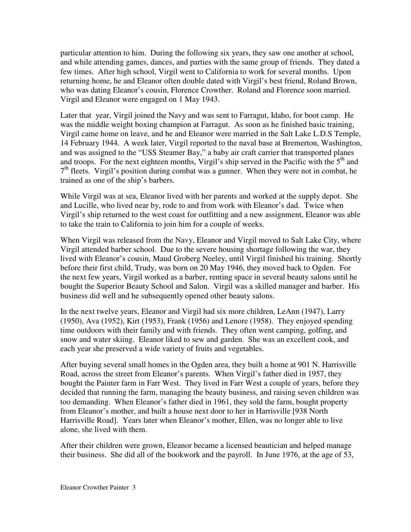particular attention to him. During the following six years, they saw one another at school, and while attending games, dances, and parties with the same group of friends. They dated a few times. After high school, Virgil went to California to work for several months. Upon returning home, he and Eleanor often double dated with Virgil's best friend, Roland Brown, who was dating Eleanor's cousin, Florence Crowther. Roland and Florence soon married. Virgil and Eleanor were engaged on 1 May 1943.

Later that year, Virgil joined the Navy and was sent to Farragut, Idaho, for boot camp. He was the middle weight boxing champion at Farragut. As soon as he finished basic training, Virgil came home on leave, and he and Eleanor were married in the Salt Lake L.D.S Temple, 14 February 1944. A week later, Virgil reported to the naval base at Bremerton, Washington, and was assigned to the "USS Steamer Bay," a baby air craft carrier that transported planes and troops. For the next eighteen months, Virgil's ship served in the Pacific with the  $5<sup>th</sup>$  and 7<sup>th</sup> fleets. Virgil's position during combat was a gunner. When they were not in combat, he trained as one of the ship's barbers.

While Virgil was at sea, Eleanor lived with her parents and worked at the supply depot. She and Lucille, who lived near by, rode to and from work with Eleanor's dad. Twice when Virgil's ship returned to the west coast for outfitting and a new assignment, Eleanor was able to take the train to California to join him for a couple of weeks.

When Virgil was released from the Navy, Eleanor and Virgil moved to Salt Lake City, where Virgil attended barber school. Due to the severe housing shortage following the war, they lived with Eleanor's cousin, Maud Groberg Neeley, until Virgil finished his training. Shortly before their first child, Trudy, was born on 20 May 1946, they moved back to Ogden. For the next few years, Virgil worked as a barber, renting space in several beauty salons until he bought the Superior Beauty School and Salon. Virgil was a skilled manager and barber. His business did well and he subsequently opened other beauty salons.

In the next twelve years, Eleanor and Virgil had six more children, LeAnn (1947), Larry (1950), Ava (1952), Kirt (1953), Frank (1956) and Lenore (1958). They enjoyed spending time outdoors with their family and with friends. They often went camping, golfing, and snow and water skiing. Eleanor liked to sew and garden. She was an excellent cook, and each year she preserved a wide variety of fruits and vegetables.

After buying several small homes in the Ogden area, they built a home at 901 N. Harrisville Road, across the street from Eleanor's parents. When Virgil's father died in 1957, they bought the Painter farm in Farr West. They lived in Farr West a couple of years, before they decided that running the farm, managing the beauty business, and raising seven children was too demanding. When Eleanor's father died in 1961, they sold the farm, bought property from Eleanor's mother, and built a house next door to her in Harrisville [938 North Harrisville Road]. Years later when Eleanor's mother, Ellen, was no longer able to live alone, she lived with them.

After their children were grown, Eleanor became a licensed beautician and helped manage their business. She did all of the bookwork and the payroll. In June 1976, at the age of 53,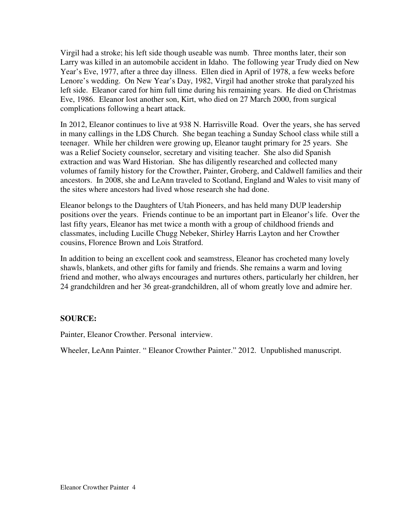Virgil had a stroke; his left side though useable was numb. Three months later, their son Larry was killed in an automobile accident in Idaho. The following year Trudy died on New Year's Eve, 1977, after a three day illness. Ellen died in April of 1978, a few weeks before Lenore's wedding. On New Year's Day, 1982, Virgil had another stroke that paralyzed his left side. Eleanor cared for him full time during his remaining years. He died on Christmas Eve, 1986. Eleanor lost another son, Kirt, who died on 27 March 2000, from surgical complications following a heart attack.

In 2012, Eleanor continues to live at 938 N. Harrisville Road. Over the years, she has served in many callings in the LDS Church. She began teaching a Sunday School class while still a teenager. While her children were growing up, Eleanor taught primary for 25 years. She was a Relief Society counselor, secretary and visiting teacher. She also did Spanish extraction and was Ward Historian. She has diligently researched and collected many volumes of family history for the Crowther, Painter, Groberg, and Caldwell families and their ancestors. In 2008, she and LeAnn traveled to Scotland, England and Wales to visit many of the sites where ancestors had lived whose research she had done.

Eleanor belongs to the Daughters of Utah Pioneers, and has held many DUP leadership positions over the years. Friends continue to be an important part in Eleanor's life. Over the last fifty years, Eleanor has met twice a month with a group of childhood friends and classmates, including Lucille Chugg Nebeker, Shirley Harris Layton and her Crowther cousins, Florence Brown and Lois Stratford.

In addition to being an excellent cook and seamstress, Eleanor has crocheted many lovely shawls, blankets, and other gifts for family and friends. She remains a warm and loving friend and mother, who always encourages and nurtures others, particularly her children, her 24 grandchildren and her 36 great-grandchildren, all of whom greatly love and admire her.

## **SOURCE:**

Painter, Eleanor Crowther. Personal interview.

Wheeler, LeAnn Painter. " Eleanor Crowther Painter." 2012. Unpublished manuscript.